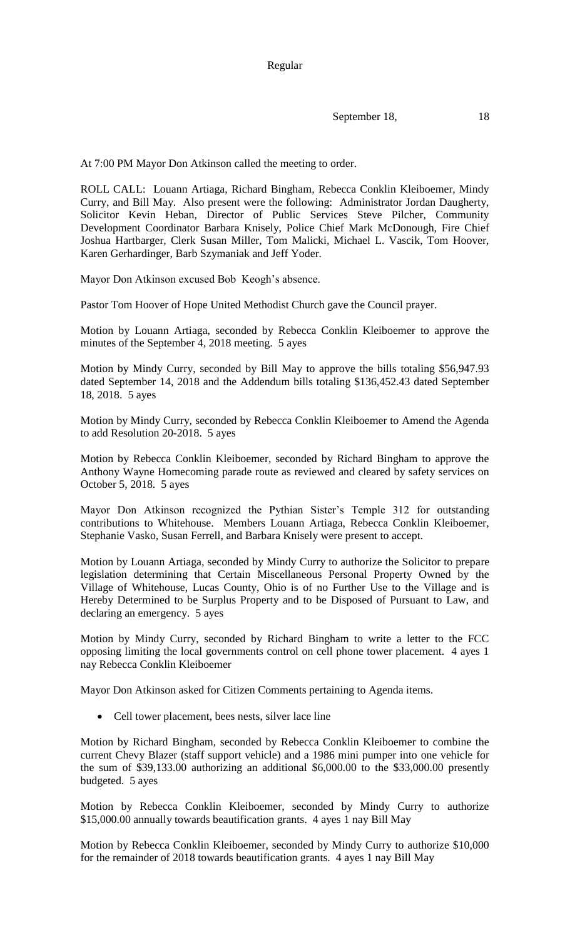September 18, 18

At 7:00 PM Mayor Don Atkinson called the meeting to order.

ROLL CALL: Louann Artiaga, Richard Bingham, Rebecca Conklin Kleiboemer, Mindy Curry, and Bill May. Also present were the following: Administrator Jordan Daugherty, Solicitor Kevin Heban, Director of Public Services Steve Pilcher, Community Development Coordinator Barbara Knisely, Police Chief Mark McDonough, Fire Chief Joshua Hartbarger, Clerk Susan Miller, Tom Malicki, Michael L. Vascik, Tom Hoover, Karen Gerhardinger, Barb Szymaniak and Jeff Yoder.

Mayor Don Atkinson excused Bob Keogh's absence.

Pastor Tom Hoover of Hope United Methodist Church gave the Council prayer.

Motion by Louann Artiaga, seconded by Rebecca Conklin Kleiboemer to approve the minutes of the September 4, 2018 meeting. 5 ayes

Motion by Mindy Curry, seconded by Bill May to approve the bills totaling \$56,947.93 dated September 14, 2018 and the Addendum bills totaling \$136,452.43 dated September 18, 2018. 5 ayes

Motion by Mindy Curry, seconded by Rebecca Conklin Kleiboemer to Amend the Agenda to add Resolution 20-2018. 5 ayes

Motion by Rebecca Conklin Kleiboemer, seconded by Richard Bingham to approve the Anthony Wayne Homecoming parade route as reviewed and cleared by safety services on October 5, 2018. 5 ayes

Mayor Don Atkinson recognized the Pythian Sister's Temple 312 for outstanding contributions to Whitehouse. Members Louann Artiaga, Rebecca Conklin Kleiboemer, Stephanie Vasko, Susan Ferrell, and Barbara Knisely were present to accept.

Motion by Louann Artiaga, seconded by Mindy Curry to authorize the Solicitor to prepare legislation determining that Certain Miscellaneous Personal Property Owned by the Village of Whitehouse, Lucas County, Ohio is of no Further Use to the Village and is Hereby Determined to be Surplus Property and to be Disposed of Pursuant to Law, and declaring an emergency. 5 ayes

Motion by Mindy Curry, seconded by Richard Bingham to write a letter to the FCC opposing limiting the local governments control on cell phone tower placement. 4 ayes 1 nay Rebecca Conklin Kleiboemer

Mayor Don Atkinson asked for Citizen Comments pertaining to Agenda items.

• Cell tower placement, bees nests, silver lace line

Motion by Richard Bingham, seconded by Rebecca Conklin Kleiboemer to combine the current Chevy Blazer (staff support vehicle) and a 1986 mini pumper into one vehicle for the sum of \$39,133.00 authorizing an additional \$6,000.00 to the \$33,000.00 presently budgeted. 5 ayes

Motion by Rebecca Conklin Kleiboemer, seconded by Mindy Curry to authorize \$15,000.00 annually towards beautification grants. 4 ayes 1 nay Bill May

Motion by Rebecca Conklin Kleiboemer, seconded by Mindy Curry to authorize \$10,000 for the remainder of 2018 towards beautification grants. 4 ayes 1 nay Bill May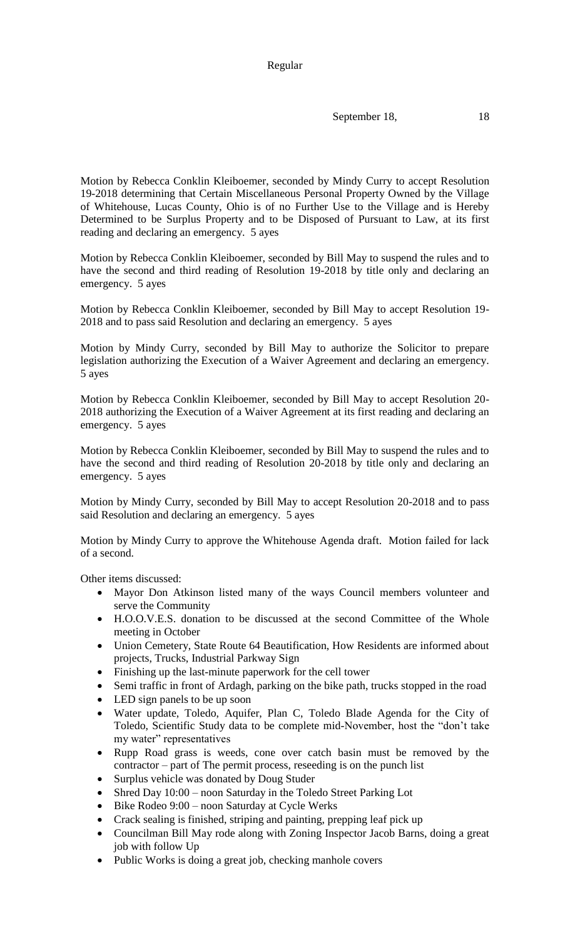Regular

September 18, 18

Motion by Rebecca Conklin Kleiboemer, seconded by Mindy Curry to accept Resolution 19-2018 determining that Certain Miscellaneous Personal Property Owned by the Village of Whitehouse, Lucas County, Ohio is of no Further Use to the Village and is Hereby Determined to be Surplus Property and to be Disposed of Pursuant to Law, at its first reading and declaring an emergency. 5 ayes

Motion by Rebecca Conklin Kleiboemer, seconded by Bill May to suspend the rules and to have the second and third reading of Resolution 19-2018 by title only and declaring an emergency. 5 ayes

Motion by Rebecca Conklin Kleiboemer, seconded by Bill May to accept Resolution 19- 2018 and to pass said Resolution and declaring an emergency. 5 ayes

Motion by Mindy Curry, seconded by Bill May to authorize the Solicitor to prepare legislation authorizing the Execution of a Waiver Agreement and declaring an emergency. 5 ayes

Motion by Rebecca Conklin Kleiboemer, seconded by Bill May to accept Resolution 20- 2018 authorizing the Execution of a Waiver Agreement at its first reading and declaring an emergency. 5 ayes

Motion by Rebecca Conklin Kleiboemer, seconded by Bill May to suspend the rules and to have the second and third reading of Resolution 20-2018 by title only and declaring an emergency. 5 ayes

Motion by Mindy Curry, seconded by Bill May to accept Resolution 20-2018 and to pass said Resolution and declaring an emergency. 5 ayes

Motion by Mindy Curry to approve the Whitehouse Agenda draft. Motion failed for lack of a second.

Other items discussed:

- Mayor Don Atkinson listed many of the ways Council members volunteer and serve the Community
- H.O.O.V.E.S. donation to be discussed at the second Committee of the Whole meeting in October
- Union Cemetery, State Route 64 Beautification, How Residents are informed about projects, Trucks, Industrial Parkway Sign
- Finishing up the last-minute paperwork for the cell tower
- Semi traffic in front of Ardagh, parking on the bike path, trucks stopped in the road
- LED sign panels to be up soon
- Water update, Toledo, Aquifer, Plan C, Toledo Blade Agenda for the City of Toledo, Scientific Study data to be complete mid-November, host the "don't take my water" representatives
- Rupp Road grass is weeds, cone over catch basin must be removed by the contractor – part of The permit process, reseeding is on the punch list
- Surplus vehicle was donated by Doug Studer
- Shred Day 10:00 noon Saturday in the Toledo Street Parking Lot
- Bike Rodeo 9:00 noon Saturday at Cycle Werks
- Crack sealing is finished, striping and painting, prepping leaf pick up
- Councilman Bill May rode along with Zoning Inspector Jacob Barns, doing a great job with follow Up
- Public Works is doing a great job, checking manhole covers